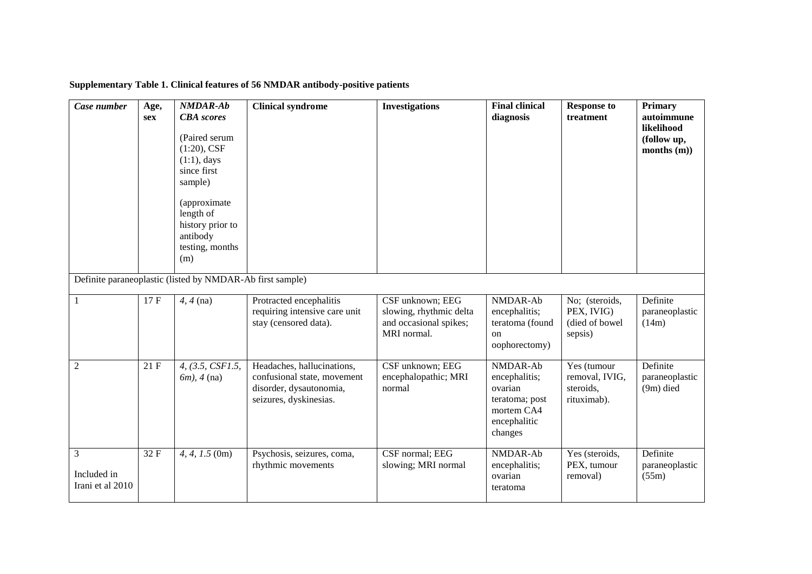| Case number                          | Age,<br><b>sex</b> | <b>NMDAR-Ab</b><br><b>CBA</b> scores<br>(Paired serum)<br>$(1:20)$ , CSF<br>$(1:1)$ , days<br>since first<br>sample)<br>(approximate<br>length of<br>history prior to<br>antibody<br>testing, months<br>(m) | <b>Clinical syndrome</b>                                                                                       | <b>Investigations</b>                                                                | <b>Final clinical</b><br>diagnosis                                                              | <b>Response to</b><br>treatment                           | <b>Primary</b><br>autoimmune<br>likelihood<br>(follow up,<br>months $(m)$ ) |
|--------------------------------------|--------------------|-------------------------------------------------------------------------------------------------------------------------------------------------------------------------------------------------------------|----------------------------------------------------------------------------------------------------------------|--------------------------------------------------------------------------------------|-------------------------------------------------------------------------------------------------|-----------------------------------------------------------|-----------------------------------------------------------------------------|
|                                      |                    | Definite paraneoplastic (listed by NMDAR-Ab first sample)                                                                                                                                                   |                                                                                                                |                                                                                      |                                                                                                 |                                                           |                                                                             |
| -1                                   | 17F                | $4, 4$ (na)                                                                                                                                                                                                 | Protracted encephalitis<br>requiring intensive care unit<br>stay (censored data).                              | CSF unknown; EEG<br>slowing, rhythmic delta<br>and occasional spikes;<br>MRI normal. | NMDAR-Ab<br>encephalitis;<br>teratoma (found<br>on<br>oophorectomy)                             | No; (steroids,<br>PEX, IVIG)<br>(died of bowel<br>sepsis) | Definite<br>paraneoplastic<br>(14m)                                         |
| $\overline{2}$                       | 21F                | 4, (3.5, CSF1.5,<br>$6m$ ), 4 (na)                                                                                                                                                                          | Headaches, hallucinations,<br>confusional state, movement<br>disorder, dysautonomia,<br>seizures, dyskinesias. | CSF unknown; EEG<br>encephalopathic; MRI<br>normal                                   | NMDAR-Ab<br>encephalitis;<br>ovarian<br>teratoma; post<br>mortem CA4<br>encephalitic<br>changes | Yes (tumour<br>removal, IVIG,<br>steroids,<br>rituximab). | Definite<br>paraneoplastic<br>$(9m)$ died                                   |
| 3<br>Included in<br>Irani et al 2010 | 32F                | $4, 4, 1.5$ (0m)                                                                                                                                                                                            | Psychosis, seizures, coma,<br>rhythmic movements                                                               | CSF normal; EEG<br>slowing; MRI normal                                               | NMDAR-Ab<br>encephalitis;<br>ovarian<br>teratoma                                                | Yes (steroids,<br>PEX, tumour<br>removal)                 | Definite<br>paraneoplastic<br>(55m)                                         |

## **Supplementary Table 1. Clinical features of 56 NMDAR antibody-positive patients**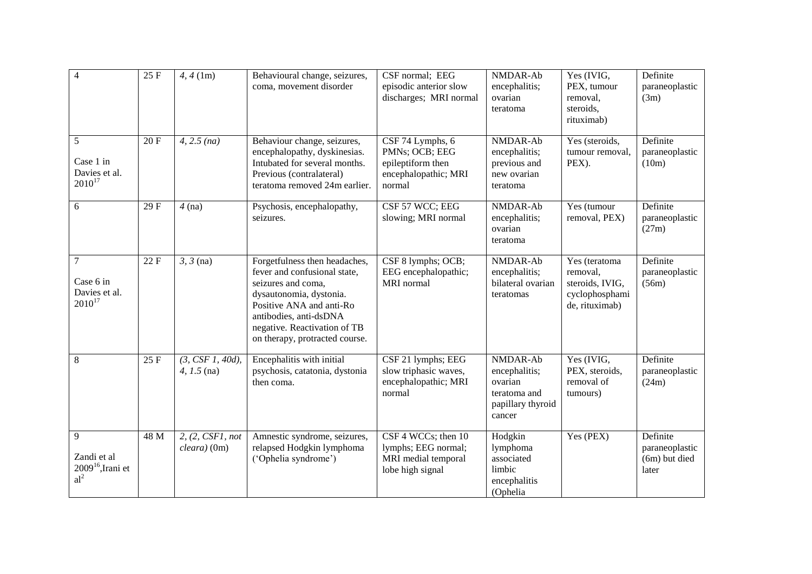| $\overline{4}$                                                | 25 F | 4, 4 (1m)                          | Behavioural change, seizures,<br>coma, movement disorder                                                                                                                                                                               | CSF normal; EEG<br>episodic anterior slow<br>discharges; MRI normal                       | NMDAR-Ab<br>encephalitis;<br>ovarian<br>teratoma                                    | Yes (IVIG,<br>PEX, tumour<br>removal,<br>steroids,<br>rituximab)                 | Definite<br>paraneoplastic<br>(3m)                   |
|---------------------------------------------------------------|------|------------------------------------|----------------------------------------------------------------------------------------------------------------------------------------------------------------------------------------------------------------------------------------|-------------------------------------------------------------------------------------------|-------------------------------------------------------------------------------------|----------------------------------------------------------------------------------|------------------------------------------------------|
| 5<br>Case 1 in<br>Davies et al.<br>$2010^{17}$                | 20F  | 4, 2.5 (na)                        | Behaviour change, seizures,<br>encephalopathy, dyskinesias.<br>Intubated for several months.<br>Previous (contralateral)<br>teratoma removed 24m earlier.                                                                              | CSF 74 Lymphs, 6<br>PMNs; OCB; EEG<br>epileptiform then<br>encephalopathic; MRI<br>normal | NMDAR-Ab<br>encephalitis;<br>previous and<br>new ovarian<br>teratoma                | Yes (steroids,<br>tumour removal,<br>PEX).                                       | Definite<br>paraneoplastic<br>(10m)                  |
| 6                                                             | 29F  | $4$ (na)                           | Psychosis, encephalopathy,<br>seizures.                                                                                                                                                                                                | CSF 57 WCC; EEG<br>slowing; MRI normal                                                    | NMDAR-Ab<br>encephalitis;<br>ovarian<br>teratoma                                    | Yes (tumour<br>removal, PEX)                                                     | Definite<br>paraneoplastic<br>(27m)                  |
| $\overline{7}$<br>Case 6 in<br>Davies et al.<br>$2010^{17}$   | 22F  | $3, 3$ (na)                        | Forgetfulness then headaches,<br>fever and confusional state,<br>seizures and coma,<br>dysautonomia, dystonia.<br>Positive ANA and anti-Ro<br>antibodies, anti-dsDNA<br>negative. Reactivation of TB<br>on therapy, protracted course. | CSF 8 lymphs; OCB;<br>EEG encephalopathic;<br><b>MRI</b> normal                           | NMDAR-Ab<br>encephalitis;<br>bilateral ovarian<br>teratomas                         | Yes (teratoma<br>removal,<br>steroids, IVIG,<br>cyclophosphami<br>de, rituximab) | Definite<br>paraneoplastic<br>(56m)                  |
| 8                                                             | 25 F | (3, CSF1, 40d),<br>$4, 1.5$ (na)   | Encephalitis with initial<br>psychosis, catatonia, dystonia<br>then coma.                                                                                                                                                              | CSF 21 lymphs; EEG<br>slow triphasic waves,<br>encephalopathic; MRI<br>normal             | NMDAR-Ab<br>encephalitis;<br>ovarian<br>teratoma and<br>papillary thyroid<br>cancer | Yes (IVIG,<br>PEX, steroids,<br>removal of<br>tumours)                           | Definite<br>paraneoplastic<br>(24m)                  |
| 9<br>Zandi et al<br>$2009^{16}$ , Irani et<br>al <sup>2</sup> | 48 M | 2, (2, CSF1, not<br>$cleara)$ (0m) | Amnestic syndrome, seizures,<br>relapsed Hodgkin lymphoma<br>('Ophelia syndrome')                                                                                                                                                      | CSF 4 WCCs; then 10<br>lymphs; EEG normal;<br>MRI medial temporal<br>lobe high signal     | Hodgkin<br>lymphoma<br>associated<br>limbic<br>encephalitis<br>(Ophelia             | Yes (PEX)                                                                        | Definite<br>paraneoplastic<br>(6m) but died<br>later |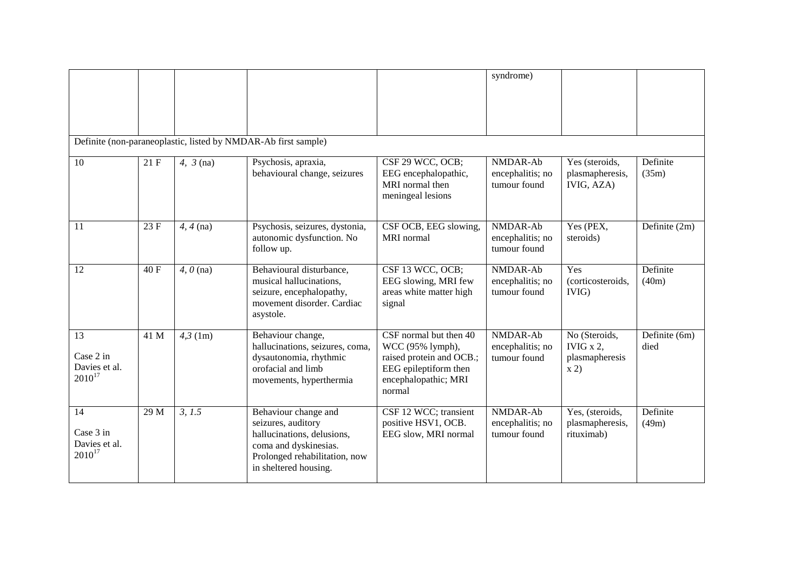|                                                 |      |                                |                                                                                                                                                             |                                                                                                                                   | syndrome)                                    |                                                        |                       |
|-------------------------------------------------|------|--------------------------------|-------------------------------------------------------------------------------------------------------------------------------------------------------------|-----------------------------------------------------------------------------------------------------------------------------------|----------------------------------------------|--------------------------------------------------------|-----------------------|
|                                                 |      |                                | Definite (non-paraneoplastic, listed by NMDAR-Ab first sample)                                                                                              |                                                                                                                                   |                                              |                                                        |                       |
| 10                                              | 21 F | $4, 3$ (na)                    | Psychosis, apraxia,<br>behavioural change, seizures                                                                                                         | CSF 29 WCC, OCB;<br>EEG encephalopathic,<br>MRI normal then<br>meningeal lesions                                                  | NMDAR-Ab<br>encephalitis; no<br>tumour found | Yes (steroids,<br>plasmapheresis,<br>IVIG, AZA)        | Definite<br>(35m)     |
| 11                                              | 23F  | $4, 4$ (na)                    | Psychosis, seizures, dystonia,<br>autonomic dysfunction. No<br>follow up.                                                                                   | CSF OCB, EEG slowing,<br>MRI normal                                                                                               | NMDAR-Ab<br>encephalitis; no<br>tumour found | Yes (PEX,<br>steroids)                                 | Definite (2m)         |
| 12                                              | 40 F | $\overline{4}$ , $\theta$ (na) | Behavioural disturbance,<br>musical hallucinations,<br>seizure, encephalopathy,<br>movement disorder. Cardiac<br>asystole.                                  | CSF 13 WCC, OCB;<br>EEG slowing, MRI few<br>areas white matter high<br>signal                                                     | NMDAR-Ab<br>encephalitis; no<br>tumour found | Yes<br>(corticosteroids,<br>IVIG)                      | Definite<br>(40m)     |
| 13<br>Case 2 in<br>Davies et al.<br>$2010^{17}$ | 41 M | $4,3$ (1m)                     | Behaviour change,<br>hallucinations, seizures, coma,<br>dysautonomia, rhythmic<br>orofacial and limb<br>movements, hyperthermia                             | CSF normal but then 40<br>WCC (95% lymph),<br>raised protein and OCB.;<br>EEG epileptiform then<br>encephalopathic; MRI<br>normal | NMDAR-Ab<br>encephalitis; no<br>tumour found | No (Steroids,<br>IVIG $x$ 2,<br>plasmapheresis<br>x 2) | Definite (6m)<br>died |
| 14<br>Case 3 in<br>Davies et al.<br>$2010^{17}$ | 29 M | 3, 1.5                         | Behaviour change and<br>seizures, auditory<br>hallucinations, delusions,<br>coma and dyskinesias.<br>Prolonged rehabilitation, now<br>in sheltered housing. | CSF 12 WCC; transient<br>positive HSV1, OCB.<br>EEG slow, MRI normal                                                              | NMDAR-Ab<br>encephalitis; no<br>tumour found | Yes, (steroids,<br>plasmapheresis,<br>rituximab)       | Definite<br>(49m)     |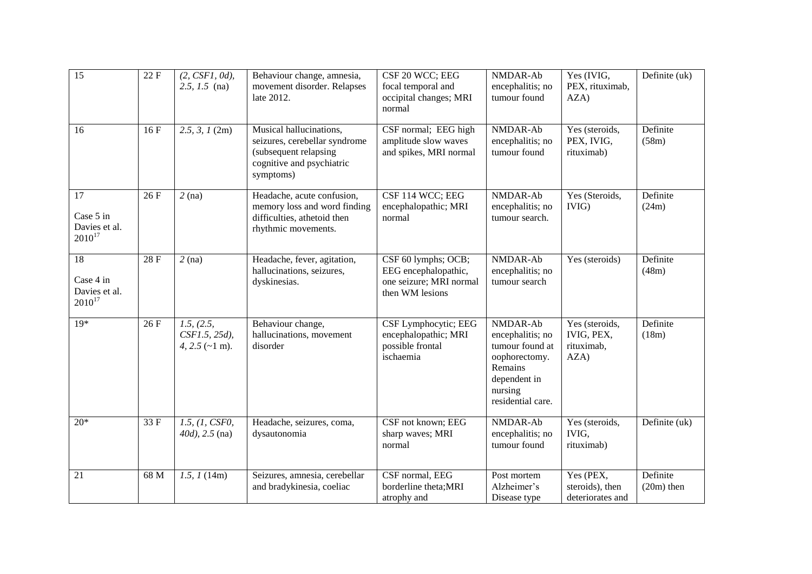| $\overline{15}$                                 | 22F  | $(2, CSFI, 0d)$ ,<br>2.5, $1.5$ (na)                        | Behaviour change, amnesia,<br>movement disorder. Relapses<br>late 2012.                                                     | CSF 20 WCC; EEG<br>focal temporal and<br>occipital changes; MRI<br>normal                 | NMDAR-Ab<br>encephalitis; no<br>tumour found                                                                                | Yes (IVIG,<br>PEX, rituximab,<br>AZA)              | Definite (uk)            |
|-------------------------------------------------|------|-------------------------------------------------------------|-----------------------------------------------------------------------------------------------------------------------------|-------------------------------------------------------------------------------------------|-----------------------------------------------------------------------------------------------------------------------------|----------------------------------------------------|--------------------------|
| 16                                              | 16F  | 2.5, 3, 1 (2m)                                              | Musical hallucinations,<br>seizures, cerebellar syndrome<br>(subsequent relapsing<br>cognitive and psychiatric<br>symptoms) | CSF normal; EEG high<br>amplitude slow waves<br>and spikes, MRI normal                    | NMDAR-Ab<br>encephalitis; no<br>tumour found                                                                                | Yes (steroids,<br>PEX, IVIG,<br>rituximab)         | Definite<br>(58m)        |
| 17<br>Case 5 in<br>Davies et al.<br>$2010^{17}$ | 26 F | $2$ (na)                                                    | Headache, acute confusion,<br>memory loss and word finding<br>difficulties, athetoid then<br>rhythmic movements.            | CSF 114 WCC; EEG<br>encephalopathic; MRI<br>normal                                        | NMDAR-Ab<br>encephalitis; no<br>tumour search.                                                                              | Yes (Steroids,<br>IVIG)                            | Definite<br>(24m)        |
| 18<br>Case 4 in<br>Davies et al.<br>$2010^{17}$ | 28F  | $2$ (na)                                                    | Headache, fever, agitation,<br>hallucinations, seizures,<br>dyskinesias.                                                    | CSF 60 lymphs; OCB;<br>EEG encephalopathic,<br>one seizure; MRI normal<br>then WM lesions | NMDAR-Ab<br>encephalitis; no<br>tumour search                                                                               | Yes (steroids)                                     | Definite<br>(48m)        |
| $19*$                                           | 26F  | 1.5, (2.5,<br>$CSF1.5, 25d$ ),<br>4, 2.5 $(-1 \text{ m})$ . | Behaviour change,<br>hallucinations, movement<br>disorder                                                                   | CSF Lymphocytic; EEG<br>encephalopathic; MRI<br>possible frontal<br>ischaemia             | NMDAR-Ab<br>encephalitis; no<br>tumour found at<br>oophorectomy.<br>Remains<br>dependent in<br>nursing<br>residential care. | Yes (steroids,<br>IVIG, PEX,<br>rituximab,<br>AZA) | Definite<br>(18m)        |
| $20*$                                           | 33 F | 1.5, (1, CSP0,<br>$40d$ ), $2.5$ (na)                       | Headache, seizures, coma,<br>dysautonomia                                                                                   | CSF not known; EEG<br>sharp waves; MRI<br>normal                                          | NMDAR-Ab<br>encephalitis; no<br>tumour found                                                                                | Yes (steroids,<br>IVIG,<br>rituximab)              | Definite (uk)            |
| 21                                              | 68 M | 1.5, 1(14m)                                                 | Seizures, amnesia, cerebellar<br>and bradykinesia, coeliac                                                                  | CSF normal, EEG<br>borderline theta; MRI<br>atrophy and                                   | Post mortem<br>Alzheimer's<br>Disease type                                                                                  | Yes (PEX,<br>steroids), then<br>deteriorates and   | Definite<br>$(20m)$ then |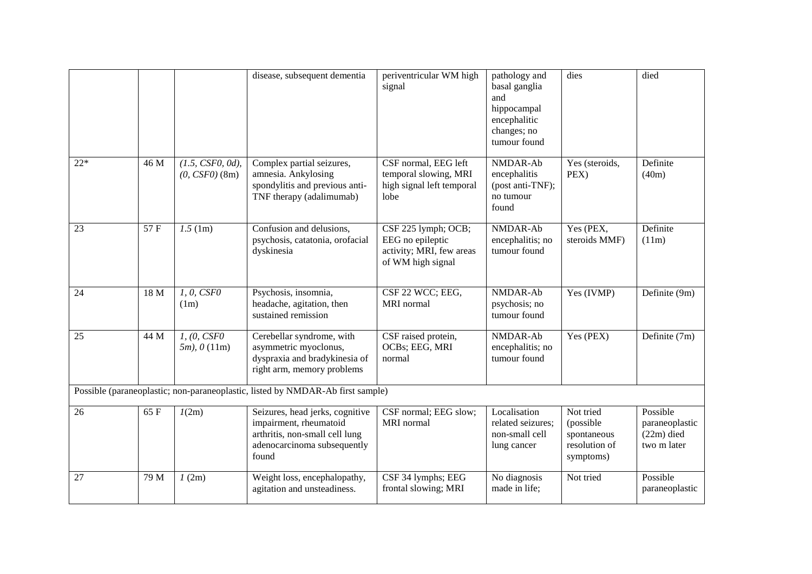|       |      |                                         | disease, subsequent dementia                                                                                                        | periventricular WM high<br>signal                                                        | pathology and<br>basal ganglia<br>and<br>hippocampal<br>encephalitic<br>changes; no<br>tumour found | dies                                                                | died                                                      |
|-------|------|-----------------------------------------|-------------------------------------------------------------------------------------------------------------------------------------|------------------------------------------------------------------------------------------|-----------------------------------------------------------------------------------------------------|---------------------------------------------------------------------|-----------------------------------------------------------|
| $22*$ | 46 M | $(1.5, CSF0, 0d)$ ,<br>$(0, CSF0)$ (8m) | Complex partial seizures,<br>amnesia. Ankylosing<br>spondylitis and previous anti-<br>TNF therapy (adalimumab)                      | CSF normal, EEG left<br>temporal slowing, MRI<br>high signal left temporal<br>lobe       | NMDAR-Ab<br>encephalitis<br>(post anti-TNF);<br>no tumour<br>found                                  | Yes (steroids,<br>PEX)                                              | Definite<br>(40m)                                         |
| 23    | 57 F | $1.5 \,(\text{1m})$                     | Confusion and delusions,<br>psychosis, catatonia, orofacial<br>dyskinesia                                                           | CSF 225 lymph; OCB;<br>EEG no epileptic<br>activity; MRI, few areas<br>of WM high signal | NMDAR-Ab<br>encephalitis; no<br>tumour found                                                        | Yes (PEX,<br>steroids MMF)                                          | Definite<br>(11m)                                         |
| 24    | 18 M | 1, 0, CSF0<br>(1m)                      | Psychosis, insomnia,<br>headache, agitation, then<br>sustained remission                                                            | CSF 22 WCC; EEG,<br>MRI normal                                                           | NMDAR-Ab<br>psychosis; no<br>tumour found                                                           | Yes (IVMP)                                                          | Definite (9m)                                             |
| 25    | 44 M | 1, (0, CSPO)<br>$5m$ ), $0(11m)$        | Cerebellar syndrome, with<br>asymmetric myoclonus,<br>dyspraxia and bradykinesia of<br>right arm, memory problems                   | CSF raised protein,<br>OCBs; EEG, MRI<br>normal                                          | NMDAR-Ab<br>encephalitis; no<br>tumour found                                                        | Yes (PEX)                                                           | Definite (7m)                                             |
|       |      |                                         | Possible (paraneoplastic; non-paraneoplastic, listed by NMDAR-Ab first sample)                                                      |                                                                                          |                                                                                                     |                                                                     |                                                           |
| 26    | 65 F | 1(2m)                                   | Seizures, head jerks, cognitive<br>impairment, rheumatoid<br>arthritis, non-small cell lung<br>adenocarcinoma subsequently<br>found | CSF normal; EEG slow;<br>MRI normal                                                      | Localisation<br>related seizures;<br>non-small cell<br>lung cancer                                  | Not tried<br>(possible<br>spontaneous<br>resolution of<br>symptoms) | Possible<br>paraneoplastic<br>$(22m)$ died<br>two m later |
| 27    | 79 M | 1(2m)                                   | Weight loss, encephalopathy,<br>agitation and unsteadiness.                                                                         | CSF 34 lymphs; EEG<br>frontal slowing; MRI                                               | No diagnosis<br>made in life;                                                                       | Not tried                                                           | Possible<br>paraneoplastic                                |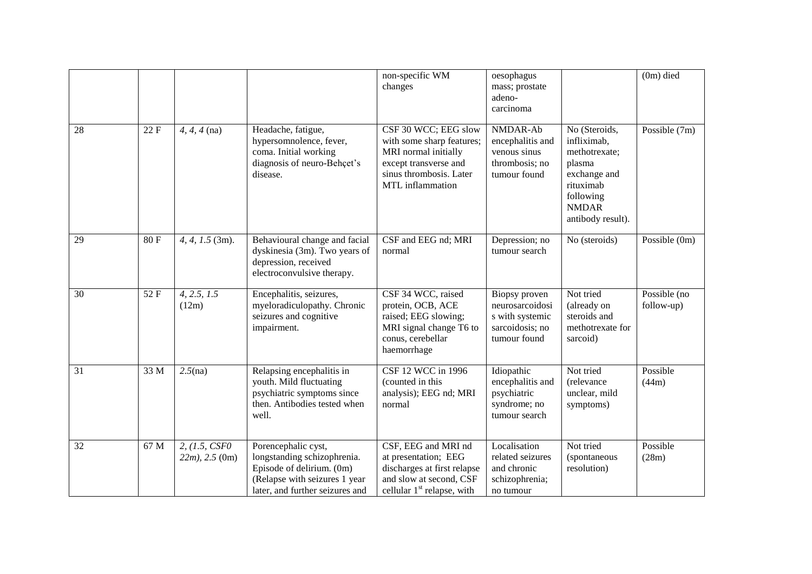|    |      |                                      |                                                                                                                                                     | non-specific WM<br>changes                                                                                                                        | oesophagus<br>mass; prostate<br>adeno-<br>carcinoma                                    |                                                                                                                                        | $(0m)$ died                |
|----|------|--------------------------------------|-----------------------------------------------------------------------------------------------------------------------------------------------------|---------------------------------------------------------------------------------------------------------------------------------------------------|----------------------------------------------------------------------------------------|----------------------------------------------------------------------------------------------------------------------------------------|----------------------------|
| 28 | 22 F | $4, 4, 4$ (na)                       | Headache, fatigue,<br>hypersomnolence, fever,<br>coma. Initial working<br>diagnosis of neuro-Behçet's<br>disease.                                   | CSF 30 WCC; EEG slow<br>with some sharp features;<br>MRI normal initially<br>except transverse and<br>sinus thrombosis. Later<br>MTL inflammation | NMDAR-Ab<br>encephalitis and<br>venous sinus<br>thrombosis; no<br>tumour found         | No (Steroids,<br>infliximab,<br>methotrexate;<br>plasma<br>exchange and<br>rituximab<br>following<br><b>NMDAR</b><br>antibody result). | Possible $(7m)$            |
| 29 | 80F  | $4, 4, 1.5$ (3m).                    | Behavioural change and facial<br>dyskinesia (3m). Two years of<br>depression, received<br>electroconvulsive therapy.                                | CSF and EEG nd; MRI<br>normal                                                                                                                     | Depression; no<br>tumour search                                                        | No (steroids)                                                                                                                          | Possible (0m)              |
| 30 | 52 F | 4, 2.5, 1.5<br>(12m)                 | Encephalitis, seizures,<br>myeloradiculopathy. Chronic<br>seizures and cognitive<br>impairment.                                                     | CSF 34 WCC, raised<br>protein, OCB, ACE<br>raised; EEG slowing;<br>MRI signal change T6 to<br>conus, cerebellar<br>haemorrhage                    | Biopsy proven<br>neurosarcoidosi<br>s with systemic<br>sarcoidosis; no<br>tumour found | Not tried<br>(already on<br>steroids and<br>methotrexate for<br>sarcoid)                                                               | Possible (no<br>follow-up) |
| 31 | 33 M | 2.5(na)                              | Relapsing encephalitis in<br>youth. Mild fluctuating<br>psychiatric symptoms since<br>then. Antibodies tested when<br>well.                         | CSF 12 WCC in 1996<br>(counted in this<br>analysis); EEG nd; MRI<br>normal                                                                        | Idiopathic<br>encephalitis and<br>psychiatric<br>syndrome; no<br>tumour search         | Not tried<br>(relevance<br>unclear, mild<br>symptoms)                                                                                  | Possible<br>(44m)          |
| 32 | 67 M | 2, (1.5, CSFO)<br>$22m$ , $2.5$ (0m) | Porencephalic cyst,<br>longstanding schizophrenia.<br>Episode of delirium. (0m)<br>(Relapse with seizures 1 year<br>later, and further seizures and | CSF, EEG and MRI nd<br>at presentation; EEG<br>discharges at first relapse<br>and slow at second, CSF<br>cellular $1st$ relapse, with             | Localisation<br>related seizures<br>and chronic<br>schizophrenia;<br>no tumour         | Not tried<br>(spontaneous<br>resolution)                                                                                               | Possible<br>(28m)          |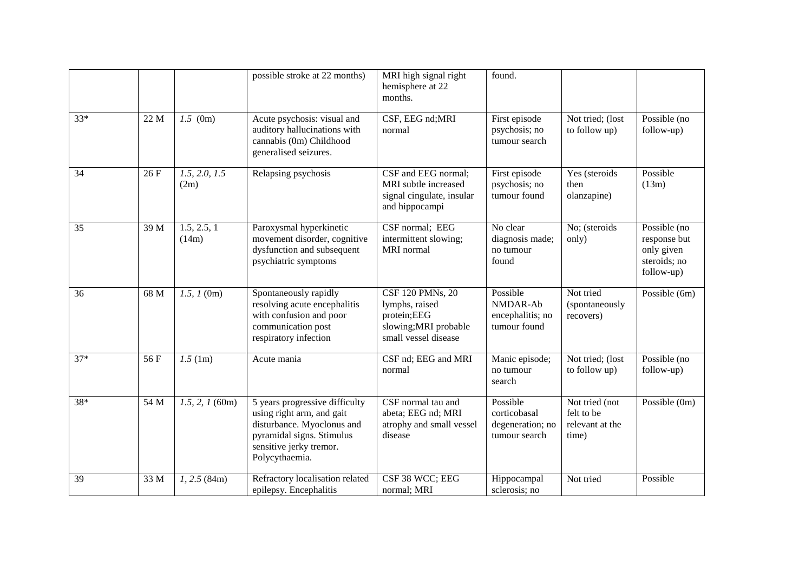|       |      |                       | possible stroke at 22 months)                                                                                                                                                    | MRI high signal right<br>hemisphere at 22<br>months.                                               | found.                                                        |                                                          |                                                                          |
|-------|------|-----------------------|----------------------------------------------------------------------------------------------------------------------------------------------------------------------------------|----------------------------------------------------------------------------------------------------|---------------------------------------------------------------|----------------------------------------------------------|--------------------------------------------------------------------------|
| $33*$ | 22 M | $1.5$ (0m)            | Acute psychosis: visual and<br>auditory hallucinations with<br>cannabis (0m) Childhood<br>generalised seizures.                                                                  | CSF, EEG nd;MRI<br>normal                                                                          | First episode<br>psychosis; no<br>tumour search               | Not tried; (lost<br>to follow up)                        | Possible (no<br>follow-up)                                               |
| 34    | 26 F | 1.5, 2.0, 1.5<br>(2m) | Relapsing psychosis                                                                                                                                                              | CSF and EEG normal;<br>MRI subtle increased<br>signal cingulate, insular<br>and hippocampi         | First episode<br>psychosis; no<br>tumour found                | Yes (steroids)<br>then<br>olanzapine)                    | Possible<br>(13m)                                                        |
| 35    | 39 M | 1.5, 2.5, 1<br>(14m)  | Paroxysmal hyperkinetic<br>movement disorder, cognitive<br>dysfunction and subsequent<br>psychiatric symptoms                                                                    | CSF normal; EEG<br>intermittent slowing;<br>MRI normal                                             | No clear<br>diagnosis made;<br>no tumour<br>found             | No; (steroids<br>only)                                   | Possible (no<br>response but<br>only given<br>steroids; no<br>follow-up) |
| 36    | 68 M | 1.5, 1(0m)            | Spontaneously rapidly<br>resolving acute encephalitis<br>with confusion and poor<br>communication post<br>respiratory infection                                                  | CSF 120 PMNs, 20<br>lymphs, raised<br>protein;EEG<br>slowing; MRI probable<br>small vessel disease | Possible<br>NMDAR-Ab<br>encephalitis; no<br>tumour found      | Not tried<br>(spontaneously<br>recovers)                 | Possible (6m)                                                            |
| $37*$ | 56 F | 1.5(1m)               | Acute mania                                                                                                                                                                      | CSF nd; EEG and MRI<br>normal                                                                      | Manic episode;<br>no tumour<br>search                         | Not tried; (lost<br>to follow up)                        | Possible (no<br>follow-up)                                               |
| 38*   | 54 M | $1.5, 2, 1$ (60m)     | $\overline{5}$ years progressive difficulty<br>using right arm, and gait<br>disturbance. Myoclonus and<br>pyramidal signs. Stimulus<br>sensitive jerky tremor.<br>Polycythaemia. | CSF normal tau and<br>abeta; EEG nd; MRI<br>atrophy and small vessel<br>disease                    | Possible<br>corticobasal<br>degeneration; no<br>tumour search | Not tried (not<br>felt to be<br>relevant at the<br>time) | Possible (0m)                                                            |
| 39    | 33 M | $1, 2.5$ (84m)        | Refractory localisation related<br>epilepsy. Encephalitis                                                                                                                        | CSF 38 WCC; EEG<br>normal; MRI                                                                     | Hippocampal<br>sclerosis; no                                  | Not tried                                                | Possible                                                                 |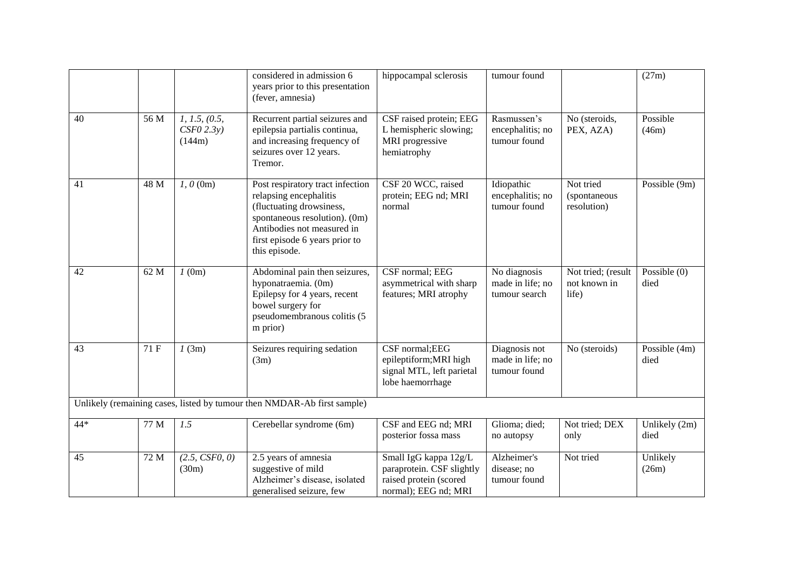|       |      |                                         | considered in admission 6<br>years prior to this presentation<br>(fever, amnesia)                                                                                                                        | hippocampal sclerosis                                                                                | tumour found                                      |                                             | (27m)                  |
|-------|------|-----------------------------------------|----------------------------------------------------------------------------------------------------------------------------------------------------------------------------------------------------------|------------------------------------------------------------------------------------------------------|---------------------------------------------------|---------------------------------------------|------------------------|
| 40    | 56 M | 1, 1.5, (0.5,<br>$CSPO$ 2.3y)<br>(144m) | Recurrent partial seizures and<br>epilepsia partialis continua,<br>and increasing frequency of<br>seizures over 12 years.<br>Tremor.                                                                     | CSF raised protein; EEG<br>L hemispheric slowing;<br>MRI progressive<br>hemiatrophy                  | Rasmussen's<br>encephalitis; no<br>tumour found   | No (steroids,<br>PEX, AZA)                  | Possible<br>(46m)      |
| 41    | 48 M | $1, 0$ (0m)                             | Post respiratory tract infection<br>relapsing encephalitis<br>(fluctuating drowsiness,<br>spontaneous resolution). (0m)<br>Antibodies not measured in<br>first episode 6 years prior to<br>this episode. | CSF 20 WCC, raised<br>protein; EEG nd; MRI<br>normal                                                 | Idiopathic<br>encephalitis; no<br>tumour found    | Not tried<br>(spontaneous<br>resolution)    | Possible (9m)          |
| 42    | 62 M | 1(0m)                                   | Abdominal pain then seizures,<br>hyponatraemia. (0m)<br>Epilepsy for 4 years, recent<br>bowel surgery for<br>pseudomembranous colitis (5<br>m prior)                                                     | CSF normal; EEG<br>asymmetrical with sharp<br>features; MRI atrophy                                  | No diagnosis<br>made in life; no<br>tumour search | Not tried; (result<br>not known in<br>life) | Possible $(0)$<br>died |
| 43    | 71 F | 1(3m)                                   | Seizures requiring sedation<br>(3m)                                                                                                                                                                      | CSF normal; EEG<br>epileptiform; MRI high<br>signal MTL, left parietal<br>lobe haemorrhage           | Diagnosis not<br>made in life; no<br>tumour found | No (steroids)                               | Possible (4m)<br>died  |
|       |      |                                         | Unlikely (remaining cases, listed by tumour then NMDAR-Ab first sample)                                                                                                                                  |                                                                                                      |                                                   |                                             |                        |
| $44*$ | 77 M | 1.5                                     | Cerebellar syndrome (6m)                                                                                                                                                                                 | CSF and EEG nd; MRI<br>posterior fossa mass                                                          | Glioma; died;<br>no autopsy                       | Not tried; DEX<br>only                      | Unlikely (2m)<br>died  |
| 45    | 72 M | (2.5, CSF0, 0)<br>(30m)                 | 2.5 years of amnesia<br>suggestive of mild<br>Alzheimer's disease, isolated<br>generalised seizure, few                                                                                                  | Small IgG kappa 12g/L<br>paraprotein. CSF slightly<br>raised protein (scored<br>normal); EEG nd; MRI | Alzheimer's<br>disease; no<br>tumour found        | Not tried                                   | Unlikely<br>(26m)      |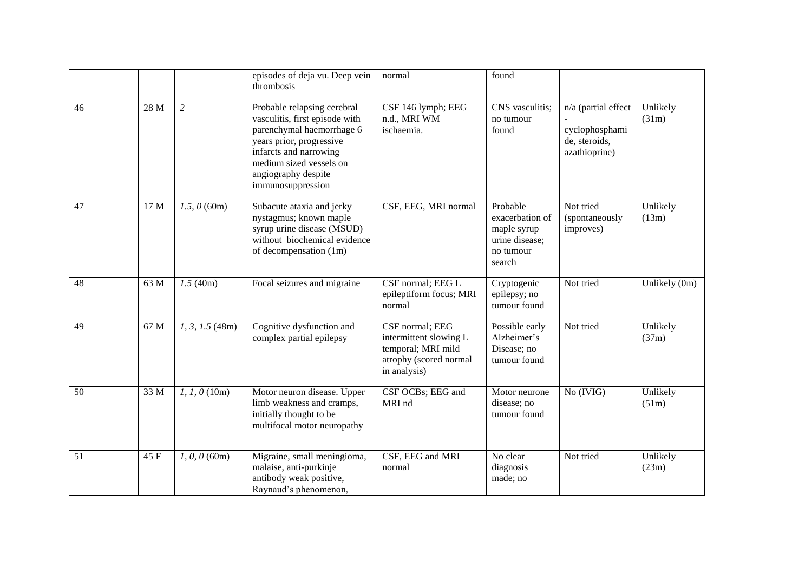|    |      |                   | episodes of deja vu. Deep vein<br>thrombosis                                                                                                                                                                            | normal                                                                                                    | found                                                                               |                                                                         |                   |
|----|------|-------------------|-------------------------------------------------------------------------------------------------------------------------------------------------------------------------------------------------------------------------|-----------------------------------------------------------------------------------------------------------|-------------------------------------------------------------------------------------|-------------------------------------------------------------------------|-------------------|
| 46 | 28 M | $\overline{2}$    | Probable relapsing cerebral<br>vasculitis, first episode with<br>parenchymal haemorrhage 6<br>years prior, progressive<br>infarcts and narrowing<br>medium sized vessels on<br>angiography despite<br>immunosuppression | CSF 146 lymph; EEG<br>n.d., MRI WM<br>ischaemia.                                                          | CNS vasculitis;<br>no tumour<br>found                                               | n/a (partial effect<br>cyclophosphami<br>de, steroids,<br>azathioprine) | Unlikely<br>(31m) |
| 47 | 17 M | 1.5, 0(60m)       | Subacute ataxia and jerky<br>nystagmus; known maple<br>syrup urine disease (MSUD)<br>without biochemical evidence<br>of decompensation (1m)                                                                             | CSF, EEG, MRI normal                                                                                      | Probable<br>exacerbation of<br>maple syrup<br>urine disease;<br>no tumour<br>search | Not tried<br>(spontaneously<br>improves)                                | Unlikely<br>(13m) |
| 48 | 63 M | 1.5(40m)          | Focal seizures and migraine                                                                                                                                                                                             | CSF normal; EEG L<br>epileptiform focus; MRI<br>normal                                                    | Cryptogenic<br>epilepsy; no<br>tumour found                                         | Not tried                                                               | Unlikely (0m)     |
| 49 | 67 M | $1, 3, 1.5$ (48m) | Cognitive dysfunction and<br>complex partial epilepsy                                                                                                                                                                   | CSF normal; EEG<br>intermittent slowing L<br>temporal; MRI mild<br>atrophy (scored normal<br>in analysis) | Possible early<br>Alzheimer's<br>Disease; no<br>tumour found                        | Not tried                                                               | Unlikely<br>(37m) |
| 50 | 33 M | $1, 1, 0$ (10m)   | Motor neuron disease. Upper<br>limb weakness and cramps,<br>initially thought to be<br>multifocal motor neuropathy                                                                                                      | CSF OCBs; EEG and<br>MRI nd                                                                               | Motor neurone<br>disease; no<br>tumour found                                        | No (IVIG)                                                               | Unlikely<br>(51m) |
| 51 | 45 F | $1, 0, 0$ (60m)   | Migraine, small meningioma,<br>malaise, anti-purkinje<br>antibody weak positive,<br>Raynaud's phenomenon,                                                                                                               | CSF, EEG and MRI<br>normal                                                                                | No clear<br>diagnosis<br>made; no                                                   | Not tried                                                               | Unlikely<br>(23m) |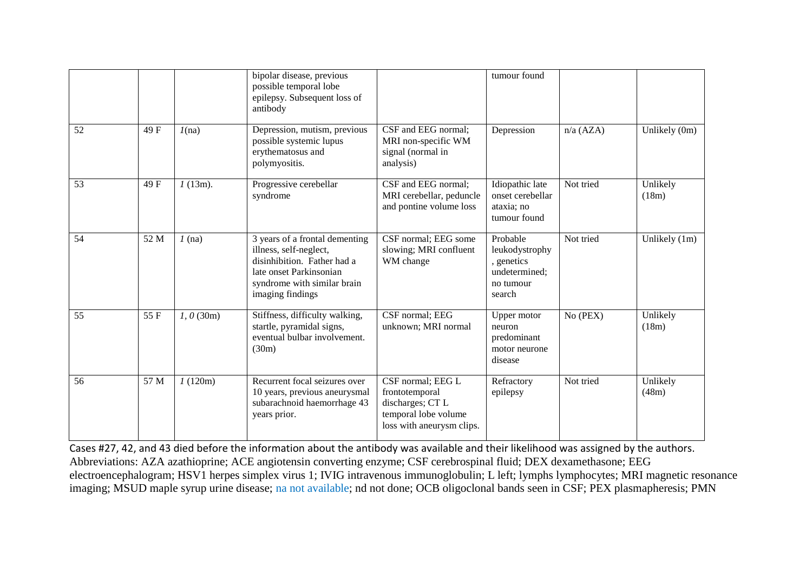|    |      |              | bipolar disease, previous<br>possible temporal lobe<br>epilepsy. Subsequent loss of<br>antibody                                                                       |                                                                                                              | tumour found                                                                     |             |                   |
|----|------|--------------|-----------------------------------------------------------------------------------------------------------------------------------------------------------------------|--------------------------------------------------------------------------------------------------------------|----------------------------------------------------------------------------------|-------------|-------------------|
| 52 | 49 F | 1(na)        | Depression, mutism, previous<br>possible systemic lupus<br>erythematosus and<br>polymyositis.                                                                         | CSF and EEG normal;<br>MRI non-specific WM<br>signal (normal in<br>analysis)                                 | Depression                                                                       | $n/a$ (AZA) | Unlikely (0m)     |
| 53 | 49 F | $1(13m)$ .   | Progressive cerebellar<br>syndrome                                                                                                                                    | CSF and EEG normal;<br>MRI cerebellar, peduncle<br>and pontine volume loss                                   | Idiopathic late<br>onset cerebellar<br>ataxia; no<br>tumour found                | Not tried   | Unlikely<br>(18m) |
| 54 | 52 M | $1$ (na)     | 3 years of a frontal dementing<br>illness, self-neglect,<br>disinhibition. Father had a<br>late onset Parkinsonian<br>syndrome with similar brain<br>imaging findings | CSF normal; EEG some<br>slowing; MRI confluent<br>WM change                                                  | Probable<br>leukodystrophy<br>, genetics<br>undetermined;<br>no tumour<br>search | Not tried   | Unlikely $(1m)$   |
| 55 | 55 F | $1, 0$ (30m) | Stiffness, difficulty walking,<br>startle, pyramidal signs,<br>eventual bulbar involvement.<br>(30m)                                                                  | CSF normal; EEG<br>unknown; MRI normal                                                                       | Upper motor<br>neuron<br>predominant<br>motor neurone<br>disease                 | No (PEX)    | Unlikely<br>(18m) |
| 56 | 57 M | 1(120m)      | Recurrent focal seizures over<br>10 years, previous aneurysmal<br>subarachnoid haemorrhage 43<br>years prior.                                                         | CSF normal; EEG L<br>frontotemporal<br>discharges; CT L<br>temporal lobe volume<br>loss with aneurysm clips. | Refractory<br>epilepsy                                                           | Not tried   | Unlikely<br>(48m) |

Cases #27, 42, and 43 died before the information about the antibody was available and their likelihood was assigned by the authors. Abbreviations: AZA azathioprine; ACE angiotensin converting enzyme; CSF cerebrospinal fluid; DEX dexamethasone; EEG electroencephalogram; HSV1 herpes simplex virus 1; IVIG intravenous immunoglobulin; L left; lymphs lymphocytes; MRI magnetic resonance imaging; MSUD maple syrup urine disease; na not available; nd not done; OCB oligoclonal bands seen in CSF; PEX plasmapheresis; PMN